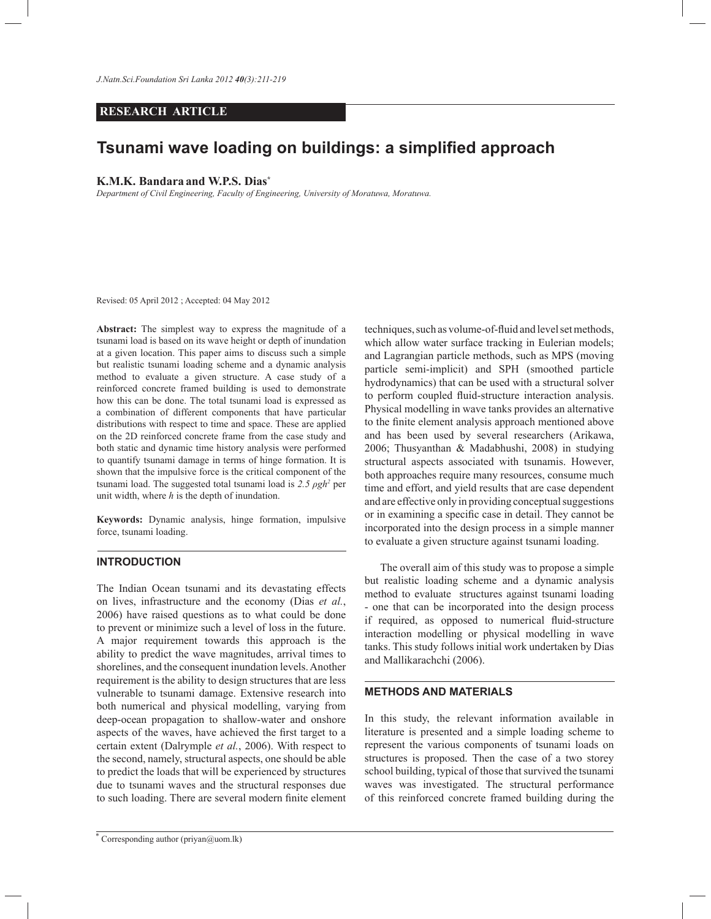*J.Natn.Sci.Foundation Sri Lanka 2012 40(3):211-219*

### **RESEARCH ARTICLE**

# **Tsunami wave loading on buildings: a simplified approach**

### **K.M.K. Bandara and W.P.S. Dias\***

*Department of Civil Engineering, Faculty of Engineering, University of Moratuwa, Moratuwa.*

Revised: 05 April 2012 ; Accepted: 04 May 2012

**Abstract:** The simplest way to express the magnitude of a tsunami load is based on its wave height or depth of inundation at a given location. This paper aims to discuss such a simple but realistic tsunami loading scheme and a dynamic analysis method to evaluate a given structure. A case study of a reinforced concrete framed building is used to demonstrate how this can be done. The total tsunami load is expressed as a combination of different components that have particular distributions with respect to time and space. These are applied on the 2D reinforced concrete frame from the case study and both static and dynamic time history analysis were performed to quantify tsunami damage in terms of hinge formation. It is shown that the impulsive force is the critical component of the tsunami load. The suggested total tsunami load is *2.5 ρgh<sup>2</sup>* per unit width, where *h* is the depth of inundation.

**Keywords:** Dynamic analysis, hinge formation, impulsive force, tsunami loading.

# **INTRODUCTION**

The Indian Ocean tsunami and its devastating effects on lives, infrastructure and the economy (Dias *et al.*, 2006) have raised questions as to what could be done to prevent or minimize such a level of loss in the future. A major requirement towards this approach is the ability to predict the wave magnitudes, arrival times to shorelines, and the consequent inundation levels. Another requirement is the ability to design structures that are less vulnerable to tsunami damage. Extensive research into both numerical and physical modelling, varying from deep-ocean propagation to shallow-water and onshore aspects of the waves, have achieved the first target to a certain extent (Dalrymple *et al.*, 2006). With respect to the second, namely, structural aspects, one should be able to predict the loads that will be experienced by structures due to tsunami waves and the structural responses due to such loading. There are several modern finite element techniques, such as volume-of-fluid and level set methods, which allow water surface tracking in Eulerian models; and Lagrangian particle methods, such as MPS (moving particle semi-implicit) and SPH (smoothed particle hydrodynamics) that can be used with a structural solver to perform coupled fluid-structure interaction analysis. Physical modelling in wave tanks provides an alternative to the finite element analysis approach mentioned above and has been used by several researchers (Arikawa, 2006; Thusyanthan & Madabhushi, 2008) in studying structural aspects associated with tsunamis. However, both approaches require many resources, consume much time and effort, and yield results that are case dependent and are effective only in providing conceptual suggestions or in examining a specific case in detail. They cannot be incorporated into the design process in a simple manner to evaluate a given structure against tsunami loading.

The overall aim of this study was to propose a simple but realistic loading scheme and a dynamic analysis method to evaluate structures against tsunami loading - one that can be incorporated into the design process if required, as opposed to numerical fluid-structure interaction modelling or physical modelling in wave tanks. This study follows initial work undertaken by Dias and Mallikarachchi (2006).

#### **METHODS AND MATERIALS**

In this study, the relevant information available in literature is presented and a simple loading scheme to represent the various components of tsunami loads on structures is proposed. Then the case of a two storey school building, typical of those that survived the tsunami waves was investigated. The structural performance of this reinforced concrete framed building during the

<sup>\*</sup> Corresponding author (priyan@uom.lk)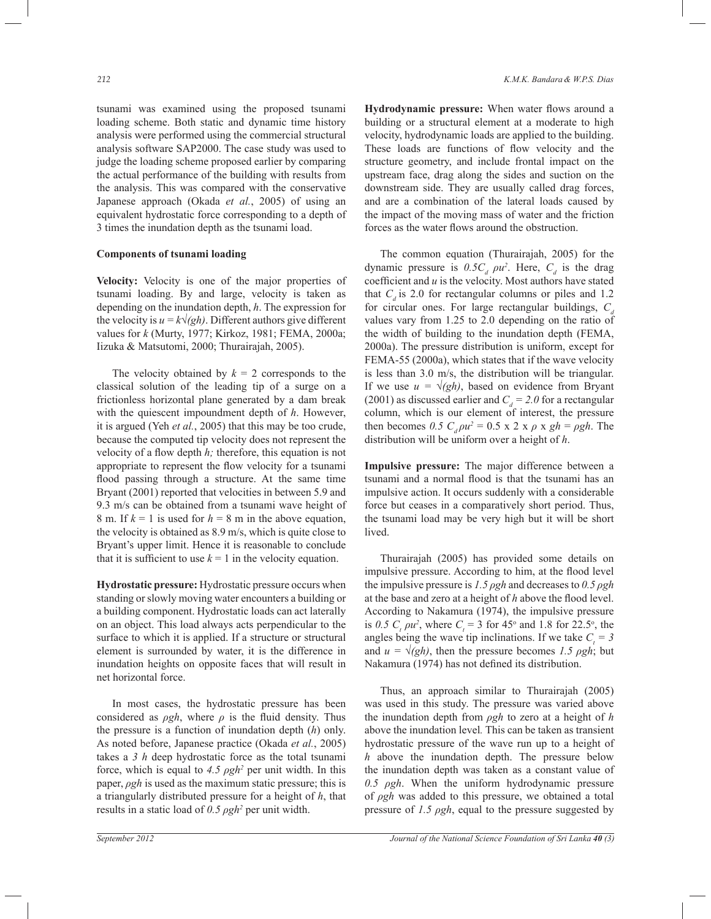tsunami was examined using the proposed tsunami loading scheme. Both static and dynamic time history analysis were performed using the commercial structural analysis software SAP2000. The case study was used to judge the loading scheme proposed earlier by comparing the actual performance of the building with results from the analysis. This was compared with the conservative Japanese approach (Okada *et al.*, 2005) of using an equivalent hydrostatic force corresponding to a depth of 3 times the inundation depth as the tsunami load.

### **Components of tsunami loading**

**Velocity:** Velocity is one of the major properties of tsunami loading. By and large, velocity is taken as depending on the inundation depth, *h*. The expression for the velocity is  $u = k\sqrt{gh}$ . Different authors give different values for *k* (Murty, 1977; Kirkoz, 1981; FEMA, 2000a; Iizuka & Matsutomi, 2000; Thurairajah, 2005).

The velocity obtained by  $k = 2$  corresponds to the classical solution of the leading tip of a surge on a frictionless horizontal plane generated by a dam break with the quiescent impoundment depth of *h*. However, it is argued (Yeh *et al.*, 2005) that this may be too crude, because the computed tip velocity does not represent the velocity of a flow depth *h;* therefore, this equation is not appropriate to represent the flow velocity for a tsunami flood passing through a structure. At the same time Bryant (2001) reported that velocities in between 5.9 and 9.3 m/s can be obtained from a tsunami wave height of 8 m. If  $k = 1$  is used for  $h = 8$  m in the above equation, the velocity is obtained as 8.9 m/s, which is quite close to Bryant's upper limit. Hence it is reasonable to conclude that it is sufficient to use  $k = 1$  in the velocity equation.

**Hydrostatic pressure:** Hydrostatic pressure occurs when standing or slowly moving water encounters a building or a building component. Hydrostatic loads can act laterally on an object. This load always acts perpendicular to the surface to which it is applied. If a structure or structural element is surrounded by water, it is the difference in inundation heights on opposite faces that will result in net horizontal force.

 In most cases, the hydrostatic pressure has been considered as *ρgh*, where *ρ* is the fluid density. Thus the pressure is a function of inundation depth (*h*) only. As noted before, Japanese practice (Okada *et al.*, 2005) takes a *3 h* deep hydrostatic force as the total tsunami force, which is equal to  $4.5 \rho g h^2$  per unit width. In this paper, *ρgh* is used as the maximum static pressure; this is a triangularly distributed pressure for a height of *h*, that results in a static load of *0.5 ρgh<sup>2</sup>* per unit width.

**Hydrodynamic pressure:** When water flows around a building or a structural element at a moderate to high velocity, hydrodynamic loads are applied to the building. These loads are functions of flow velocity and the structure geometry, and include frontal impact on the upstream face, drag along the sides and suction on the downstream side. They are usually called drag forces, and are a combination of the lateral loads caused by the impact of the moving mass of water and the friction forces as the water flows around the obstruction.

 The common equation (Thurairajah, 2005) for the dynamic pressure is  $0.5C_d \rho u^2$ . Here,  $C_d$  is the drag coefficient and *u* is the velocity. Most authors have stated that  $C_d$  is 2.0 for rectangular columns or piles and 1.2 for circular ones. For large rectangular buildings,  $C_d$ values vary from 1.25 to 2.0 depending on the ratio of the width of building to the inundation depth (FEMA, 2000a). The pressure distribution is uniform, except for FEMA-55 (2000a), which states that if the wave velocity is less than 3.0 m/s, the distribution will be triangular. If we use  $u = \sqrt{gh}$ , based on evidence from Bryant (2001) as discussed earlier and  $C_d = 2.0$  for a rectangular column, which is our element of interest, the pressure then becomes 0.5  $C_d \rho u^2 = 0.5 \times 2 \times \rho \times gh = \rho gh$ . The distribution will be uniform over a height of *h*.

**Impulsive pressure:** The major difference between a tsunami and a normal flood is that the tsunami has an impulsive action. It occurs suddenly with a considerable force but ceases in a comparatively short period. Thus, the tsunami load may be very high but it will be short lived.

 Thurairajah (2005) has provided some details on impulsive pressure. According to him, at the flood level the impulsive pressure is *1.5 ρgh* and decreases to *0.5 ρgh* at the base and zero at a height of *h* above the flood level. According to Nakamura (1974), the impulsive pressure is 0.5  $C_t$   $\rho u^2$ , where  $C_t = 3$  for 45<sup>o</sup> and 1.8 for 22.5<sup>o</sup>, the angles being the wave tip inclinations. If we take  $C<sub>t</sub> = 3$ and  $u = \sqrt{gh}$ , then the pressure becomes 1.5 *pgh*; but Nakamura (1974) has not defined its distribution.

 Thus, an approach similar to Thurairajah (2005) was used in this study. The pressure was varied above the inundation depth from *ρgh* to zero at a height of *h*  above the inundation level*.* This can be taken as transient hydrostatic pressure of the wave run up to a height of *h* above the inundation depth. The pressure below the inundation depth was taken as a constant value of *0.5 ρgh*. When the uniform hydrodynamic pressure of *ρgh* was added to this pressure, we obtained a total pressure of *1.5 ρgh*, equal to the pressure suggested by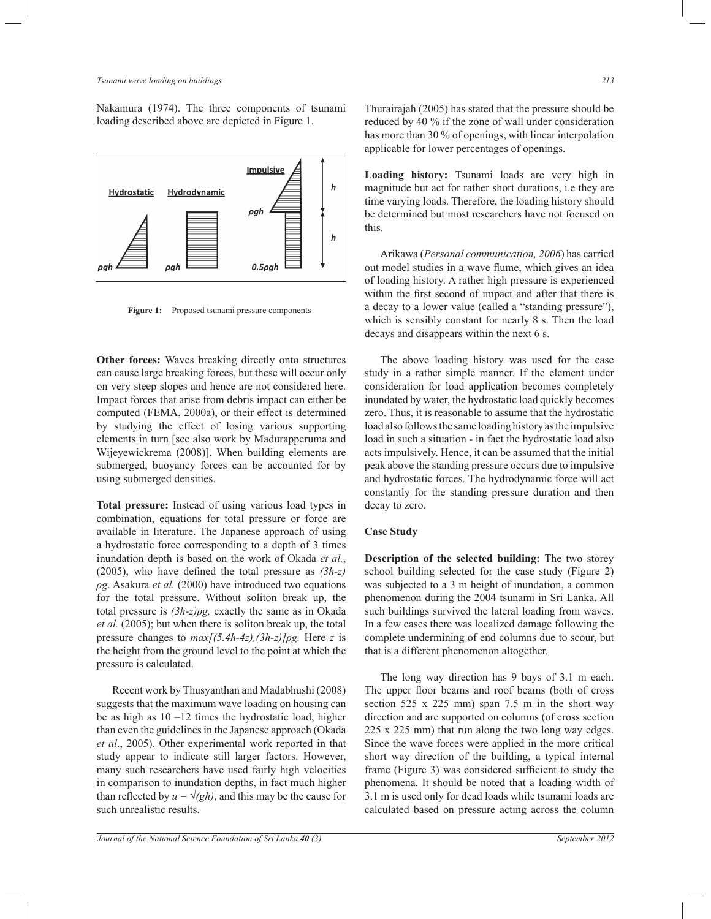Nakamura (1974). The three components of tsunami loading described above are depicted in Figure 1.



Figure 1: Proposed tsunami pressure components

**Other forces:** Waves breaking directly onto structures can cause large breaking forces, but these will occur only on very steep slopes and hence are not considered here. Impact forces that arise from debris impact can either be computed (FEMA, 2000a), or their effect is determined by studying the effect of losing various supporting elements in turn [see also work by Madurapperuma and Wijeyewickrema (2008)]. When building elements are submerged, buoyancy forces can be accounted for by using submerged densities.

**Total pressure:** Instead of using various load types in combination, equations for total pressure or force are available in literature. The Japanese approach of using a hydrostatic force corresponding to a depth of 3 times inundation depth is based on the work of Okada *et al.*, (2005), who have defined the total pressure as *(3h-z) ρg*. Asakura *et al.* (2000) have introduced two equations for the total pressure. Without soliton break up, the total pressure is *(3h-z)ρg,* exactly the same as in Okada *et al.* (2005); but when there is soliton break up, the total pressure changes to *max[(5.4h-4z),(3h-z)]ρg.* Here *z* is the height from the ground level to the point at which the pressure is calculated.

 Recent work by Thusyanthan and Madabhushi (2008) suggests that the maximum wave loading on housing can be as high as  $10 - 12$  times the hydrostatic load, higher than even the guidelines in the Japanese approach (Okada *et al*., 2005). Other experimental work reported in that study appear to indicate still larger factors. However, many such researchers have used fairly high velocities in comparison to inundation depths, in fact much higher than reflected by  $u = \sqrt{gh}$ , and this may be the cause for such unrealistic results.

Thurairajah (2005) has stated that the pressure should be reduced by 40 % if the zone of wall under consideration has more than 30 % of openings, with linear interpolation applicable for lower percentages of openings.

**Loading history:** Tsunami loads are very high in magnitude but act for rather short durations, i.e they are time varying loads. Therefore, the loading history should be determined but most researchers have not focused on this.

 Arikawa (*Personal communication, 2006*) has carried out model studies in a wave flume, which gives an idea of loading history. A rather high pressure is experienced within the first second of impact and after that there is a decay to a lower value (called a "standing pressure"), which is sensibly constant for nearly 8 s. Then the load decays and disappears within the next 6 s.

 The above loading history was used for the case study in a rather simple manner. If the element under consideration for load application becomes completely inundated by water, the hydrostatic load quickly becomes zero. Thus, it is reasonable to assume that the hydrostatic load also follows the same loading history as the impulsive load in such a situation - in fact the hydrostatic load also acts impulsively. Hence, it can be assumed that the initial peak above the standing pressure occurs due to impulsive and hydrostatic forces. The hydrodynamic force will act constantly for the standing pressure duration and then decay to zero.

#### **Case Study**

**Description of the selected building:** The two storey school building selected for the case study (Figure 2) was subjected to a 3 m height of inundation, a common phenomenon during the 2004 tsunami in Sri Lanka. All such buildings survived the lateral loading from waves. In a few cases there was localized damage following the complete undermining of end columns due to scour, but that is a different phenomenon altogether.

 The long way direction has 9 bays of 3.1 m each. The upper floor beams and roof beams (both of cross section 525 x 225 mm) span 7.5 m in the short way direction and are supported on columns (of cross section 225 x 225 mm) that run along the two long way edges. Since the wave forces were applied in the more critical short way direction of the building, a typical internal frame (Figure 3) was considered sufficient to study the phenomena. It should be noted that a loading width of 3.1 m is used only for dead loads while tsunami loads are calculated based on pressure acting across the column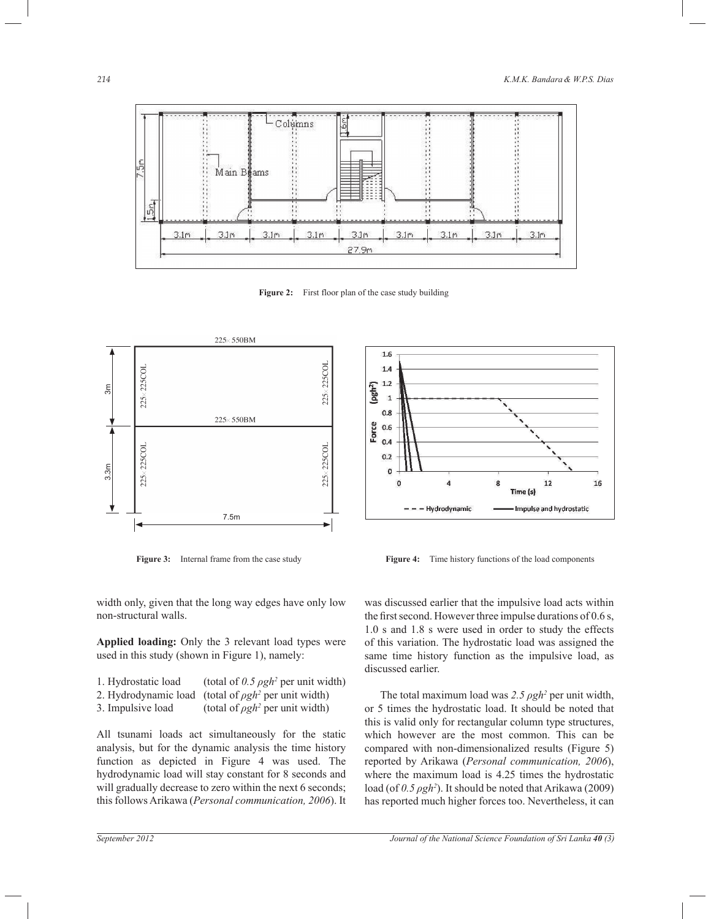

Figure 2: First floor plan of the case study building





**Figure 3:** Internal frame from the case study **Figure 4:** Time history functions of the load components

width only, given that the long way edges have only low non-structural walls.

**Applied loading:** Only the 3 relevant load types were used in this study (shown in Figure 1), namely:

| 1. Hydrostatic load | (total of 0.5 $\rho gh^2$ per unit width)                  |
|---------------------|------------------------------------------------------------|
|                     | 2. Hydrodynamic load (total of $\rho gh^2$ per unit width) |
| 3. Impulsive load   | (total of $\rho gh^2$ per unit width)                      |

All tsunami loads act simultaneously for the static analysis, but for the dynamic analysis the time history function as depicted in Figure 4 was used. The hydrodynamic load will stay constant for 8 seconds and will gradually decrease to zero within the next 6 seconds; this follows Arikawa (*Personal communication, 2006*). It was discussed earlier that the impulsive load acts within the first second. However three impulse durations of 0.6 s, 1.0 s and 1.8 s were used in order to study the effects of this variation. The hydrostatic load was assigned the same time history function as the impulsive load, as discussed earlier.

The total maximum load was 2.5 *pgh*<sup>2</sup> per unit width, or 5 times the hydrostatic load. It should be noted that this is valid only for rectangular column type structures, which however are the most common. This can be compared with non-dimensionalized results (Figure 5) reported by Arikawa (*Personal communication, 2006*), where the maximum load is 4.25 times the hydrostatic load (of *0.5 ρgh<sup>2</sup>* ). It should be noted that Arikawa (2009) has reported much higher forces too. Nevertheless, it can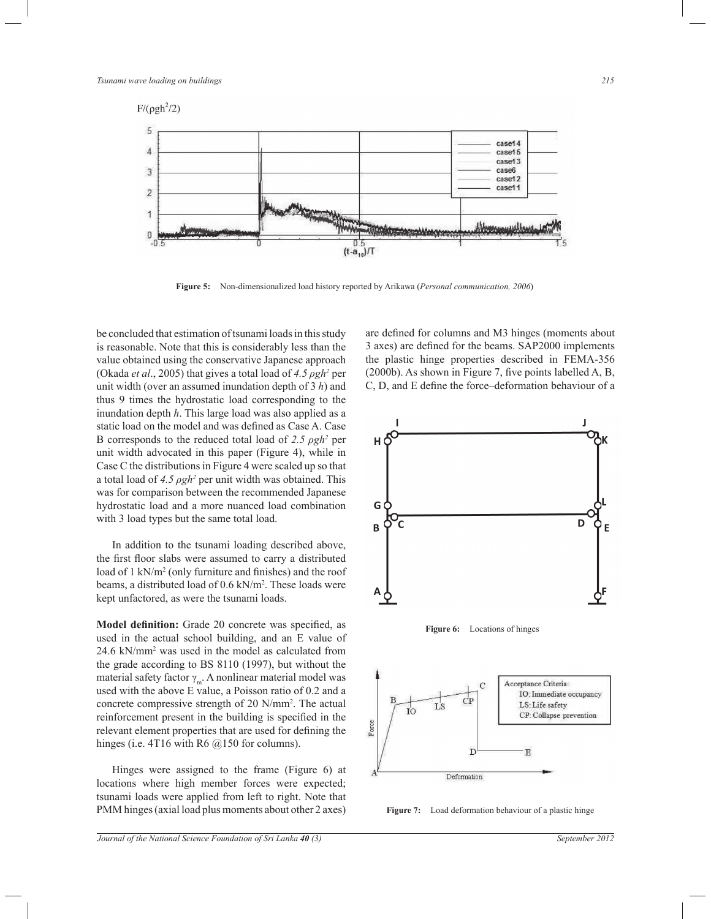

**Figure 5:** Non-dimensionalized load history reported by Arikawa (*Personal communication, 2006*)

be concluded that estimation of tsunami loads in this study is reasonable. Note that this is considerably less than the value obtained using the conservative Japanese approach (Okada *et al*., 2005) that gives a total load of *4.5 ρgh<sup>2</sup>* per unit width (over an assumed inundation depth of 3 *h*) and thus 9 times the hydrostatic load corresponding to the inundation depth *h*. This large load was also applied as a static load on the model and was defined as Case A. Case B corresponds to the reduced total load of *2.5 ρgh<sup>2</sup>* per unit width advocated in this paper (Figure 4), while in Case C the distributions in Figure 4 were scaled up so that a total load of 4.5 *ρgh*<sup>2</sup> per unit width was obtained. This was for comparison between the recommended Japanese hydrostatic load and a more nuanced load combination with 3 load types but the same total load.

 In addition to the tsunami loading described above, the first floor slabs were assumed to carry a distributed load of 1 kN/m<sup>2</sup> (only furniture and finishes) and the roof beams, a distributed load of 0.6 kN/m<sup>2</sup> . These loads were kept unfactored, as were the tsunami loads.

**Model definition:** Grade 20 concrete was specified, as used in the actual school building, and an E value of 24.6 kN/mm<sup>2</sup> was used in the model as calculated from the grade according to BS 8110 (1997), but without the material safety factor  $\gamma_{m}$ . A nonlinear material model was used with the above E value, a Poisson ratio of 0.2 and a concrete compressive strength of 20 N/mm<sup>2</sup> . The actual reinforcement present in the building is specified in the relevant element properties that are used for defining the hinges (i.e. 4T16 with R6  $@150$  for columns).

 Hinges were assigned to the frame (Figure 6) at locations where high member forces were expected; tsunami loads were applied from left to right. Note that PMM hinges (axial load plus moments about other 2 axes) are defined for columns and M3 hinges (moments about 3 axes) are defined for the beams. SAP2000 implements the plastic hinge properties described in FEMA-356 (2000b). As shown in Figure 7, five points labelled A, B, C, D, and E define the force–deformation behaviour of a







**Figure 7:** Load deformation behaviour of a plastic hinge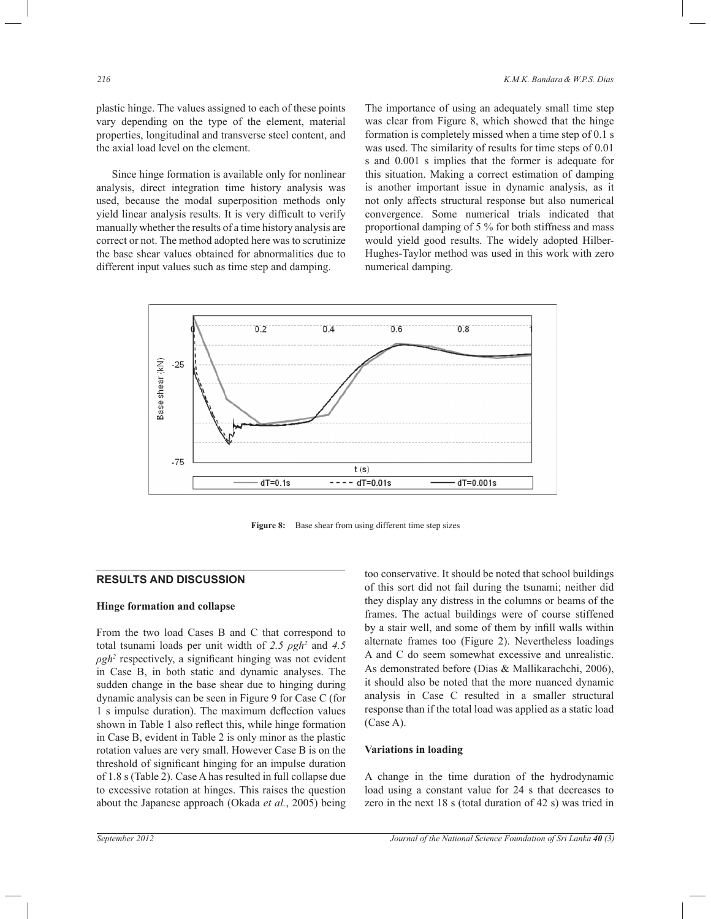plastic hinge. The values assigned to each of these points vary depending on the type of the element, material properties, longitudinal and transverse steel content, and the axial load level on the element.

 Since hinge formation is available only for nonlinear analysis, direct integration time history analysis was used, because the modal superposition methods only yield linear analysis results. It is very difficult to verify manually whether the results of a time history analysis are correct or not. The method adopted here was to scrutinize the base shear values obtained for abnormalities due to different input values such as time step and damping.

The importance of using an adequately small time step was clear from Figure 8, which showed that the hinge formation is completely missed when a time step of 0.1 s was used. The similarity of results for time steps of 0.01 s and 0.001 s implies that the former is adequate for this situation. Making a correct estimation of damping is another important issue in dynamic analysis, as it not only affects structural response but also numerical convergence. Some numerical trials indicated that proportional damping of 5 % for both stiffness and mass would yield good results. The widely adopted Hilber-Hughes-Taylor method was used in this work with zero numerical damping.



Figure 8: Base shear from using different time step sizes

# **RESULTS AND DISCUSSION**

# **Hinge formation and collapse**

From the two load Cases B and C that correspond to total tsunami loads per unit width of *2.5 ρgh<sup>2</sup>* and *4.5 ρgh<sup>2</sup>* respectively, a significant hinging was not evident in Case B, in both static and dynamic analyses. The sudden change in the base shear due to hinging during dynamic analysis can be seen in Figure 9 for Case C (for 1 s impulse duration). The maximum deflection values shown in Table 1 also reflect this, while hinge formation in Case B, evident in Table 2 is only minor as the plastic rotation values are very small. However Case B is on the threshold of significant hinging for an impulse duration of 1.8 s (Table 2). Case A has resulted in full collapse due to excessive rotation at hinges. This raises the question about the Japanese approach (Okada *et al.*, 2005) being

too conservative. It should be noted that school buildings of this sort did not fail during the tsunami; neither did they display any distress in the columns or beams of the frames. The actual buildings were of course stiffened by a stair well, and some of them by infill walls within alternate frames too (Figure 2). Nevertheless loadings A and C do seem somewhat excessive and unrealistic. As demonstrated before (Dias & Mallikarachchi, 2006), it should also be noted that the more nuanced dynamic analysis in Case C resulted in a smaller structural response than if the total load was applied as a static load (Case A).

#### **Variations in loading**

A change in the time duration of the hydrodynamic load using a constant value for 24 s that decreases to zero in the next 18 s (total duration of 42 s) was tried in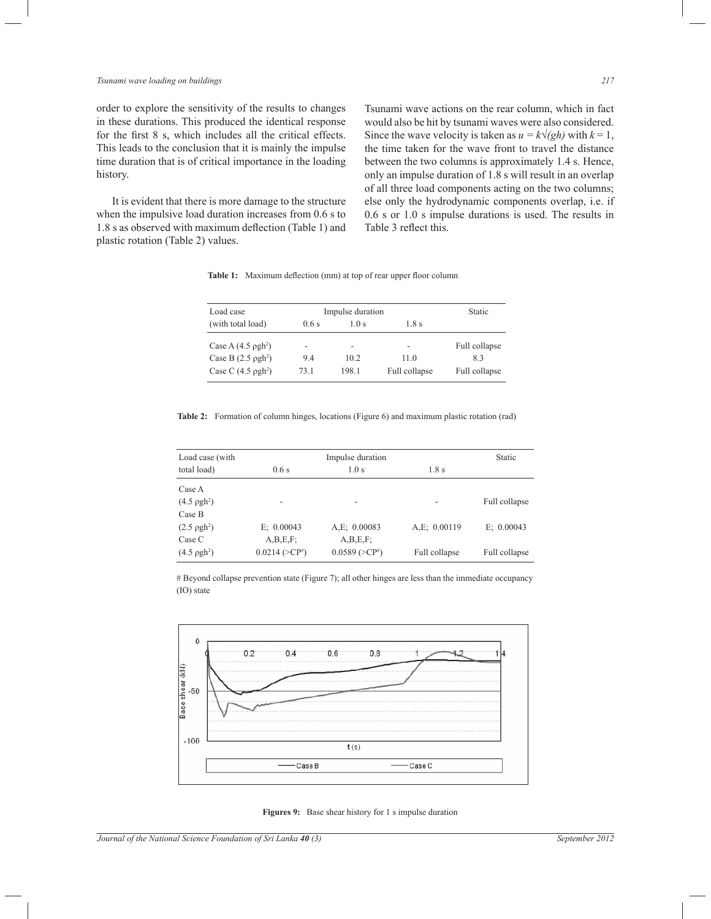### *Tsunami wave loading on buildings 217*

order to explore the sensitivity of the results to changes in these durations. This produced the identical response for the first 8 s, which includes all the critical effects. This leads to the conclusion that it is mainly the impulse time duration that is of critical importance in the loading history.

 It is evident that there is more damage to the structure when the impulsive load duration increases from 0.6 s to 1.8 s as observed with maximum deflection (Table 1) and plastic rotation (Table 2) values.

Tsunami wave actions on the rear column, which in fact would also be hit by tsunami waves were also considered. Since the wave velocity is taken as  $u = k\sqrt{gh}$  with  $k = 1$ , the time taken for the wave front to travel the distance between the two columns is approximately 1.4 s. Hence, only an impulse duration of 1.8 s will result in an overlap of all three load components acting on the two columns; else only the hydrodynamic components overlap, i.e. if 0.6 s or 1.0 s impulse durations is used. The results in Table 3 reflect this.

Table 1: Maximum deflection (mm) at top of rear upper floor column

| Load case                    | Impulse duration |                          |                          | Static        |
|------------------------------|------------------|--------------------------|--------------------------|---------------|
| (with total load)            | 0.6s             | 1.0s                     | 1.8s                     |               |
| Case A $(4.5 \text{ pgh}^2)$ | -                | $\overline{\phantom{a}}$ | $\overline{\phantom{0}}$ | Full collapse |
| Case B $(2.5 \text{ pgh}^2)$ | 9.4              | 102                      | 11.0                     | 83            |
| Case C $(4.5 \text{ pgh}^2)$ | 73 1             | 198.1                    | Full collapse            | Full collapse |

**Table 2:** Formation of column hinges, locations (Figure 6) and maximum plastic rotation (rad)

| Load case (with       | Impulse duration    |                 |               | <b>Static</b> |
|-----------------------|---------------------|-----------------|---------------|---------------|
| total load)           | 0.6s                | 1.0 s           | 1.8s          |               |
| Case A                |                     |                 |               |               |
| $(4.5 \text{ pgh}^2)$ |                     |                 |               | Full collapse |
| Case B                |                     |                 |               |               |
| $(2.5 \text{ pgh}^2)$ | E: 0.00043          | A,E; 0.00083    | A,E; 0.00119  | E: 0.00043    |
| Case C                | A,B,E,F;            | A,B,E,F;        |               |               |
| $(4.5 \text{ pgh}^2)$ | $0.0214$ ( $>CP#$ ) | $0.0589 (>CP*)$ | Full collapse | Full collapse |

# Beyond collapse prevention state (Figure 7); all other hinges are less than the immediate occupancy (IO) state



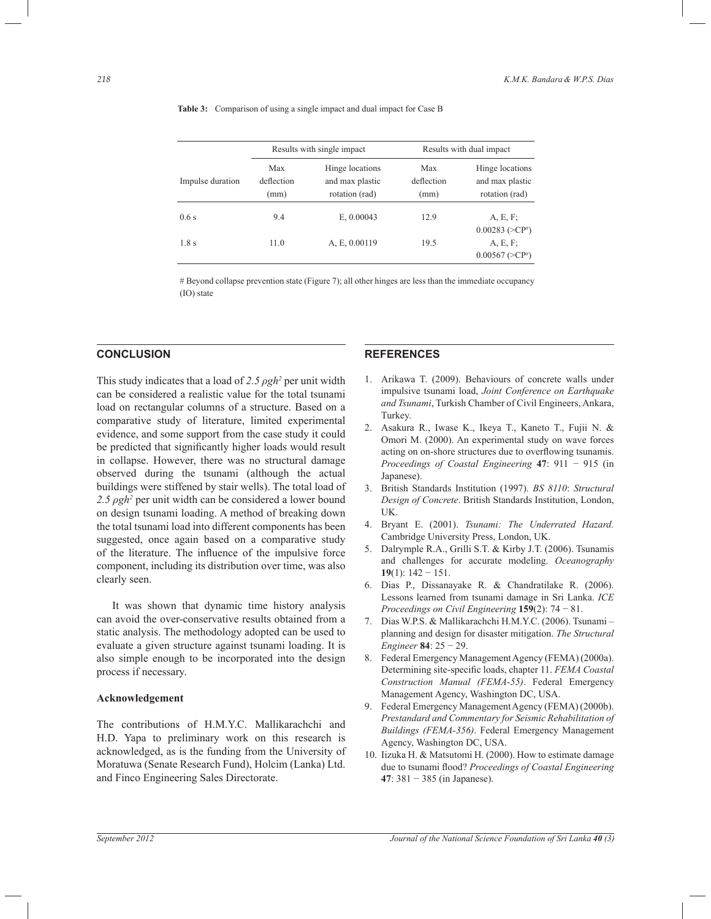|                  | Results with single impact |                                                      | Results with dual impact  |                                                      |
|------------------|----------------------------|------------------------------------------------------|---------------------------|------------------------------------------------------|
| Impulse duration | Max<br>deflection<br>(mm)  | Hinge locations<br>and max plastic<br>rotation (rad) | Max<br>deflection<br>(mm) | Hinge locations<br>and max plastic<br>rotation (rad) |
| 0.6s             | 9.4                        | E, 0.00043                                           | 12.9                      | $A, E, F$ ;<br>$0.00283$ ( $\geq CP^{\#}$ )          |
| 1.8s             | 11.0                       | A, E, 0.00119                                        | 19.5                      | A, E, F<br>$0.00567 (>CP\#)$                         |

**Table 3:** Comparison of using a single impact and dual impact for Case B

# Beyond collapse prevention state (Figure 7); all other hinges are less than the immediate occupancy (IO) state

### **CONCLUSION**

This study indicates that a load of *2.5 ρgh<sup>2</sup>* per unit width can be considered a realistic value for the total tsunami load on rectangular columns of a structure. Based on a comparative study of literature, limited experimental evidence, and some support from the case study it could be predicted that significantly higher loads would result in collapse. However, there was no structural damage observed during the tsunami (although the actual buildings were stiffened by stair wells). The total load of 2.5 *pgh*<sup>2</sup> per unit width can be considered a lower bound on design tsunami loading. A method of breaking down the total tsunami load into different components has been suggested, once again based on a comparative study of the literature. The influence of the impulsive force component, including its distribution over time, was also clearly seen.

 It was shown that dynamic time history analysis can avoid the over-conservative results obtained from a static analysis. The methodology adopted can be used to evaluate a given structure against tsunami loading. It is also simple enough to be incorporated into the design process if necessary.

#### **Acknowledgement**

The contributions of H.M.Y.C. Mallikarachchi and H.D. Yapa to preliminary work on this research is acknowledged, as is the funding from the University of Moratuwa (Senate Research Fund), Holcim (Lanka) Ltd. and Finco Engineering Sales Directorate.

### **REFERENCES**

- 1. Arikawa T. (2009). Behaviours of concrete walls under impulsive tsunami load, *Joint Conference on Earthquake and Tsunami*, Turkish Chamber of Civil Engineers, Ankara, Turkey.
- 2. Asakura R., Iwase K., Ikeya T., Kaneto T., Fujii N. & Omori M. (2000). An experimental study on wave forces acting on on-shore structures due to overflowing tsunamis. *Proceedings of Coastal Engineering* **47**: 911 − 915 (in Japanese).
- 3. British Standards Institution (1997). *BS 8110*: *Structural Design of Concrete*. British Standards Institution, London, UK.
- 4. Bryant E. (2001). *Tsunami: The Underrated Hazard.* Cambridge University Press, London, UK.
- 5. Dalrymple R.A., Grilli S.T. & Kirby J.T. (2006). Tsunamis and challenges for accurate modeling. *Oceanography* **19**(1): 142 − 151.
- 6. Dias P., Dissanayake R. & Chandratilake R. (2006). Lessons learned from tsunami damage in Sri Lanka. *ICE Proceedings on Civil Engineering* **159**(2): 74 − 81.
- 7. Dias W.P.S. & Mallikarachchi H.M.Y.C. (2006). Tsunami planning and design for disaster mitigation. *The Structural Engineer* **84**: 25 − 29.
- 8. Federal Emergency Management Agency (FEMA) (2000a). Determining site-specific loads, chapter 11. *FEMA Coastal Construction Manual (FEMA-55)*. Federal Emergency Management Agency, Washington DC, USA.
- 9. Federal Emergency Management Agency (FEMA) (2000b). *Prestandard and Commentary for Seismic Rehabilitation of Buildings (FEMA-356)*. Federal Emergency Management Agency, Washington DC, USA.
- 10. Iizuka H. & Matsutomi H. (2000). How to estimate damage due to tsunami flood? *Proceedings of Coastal Engineering* **47**: 381 − 385 (in Japanese).